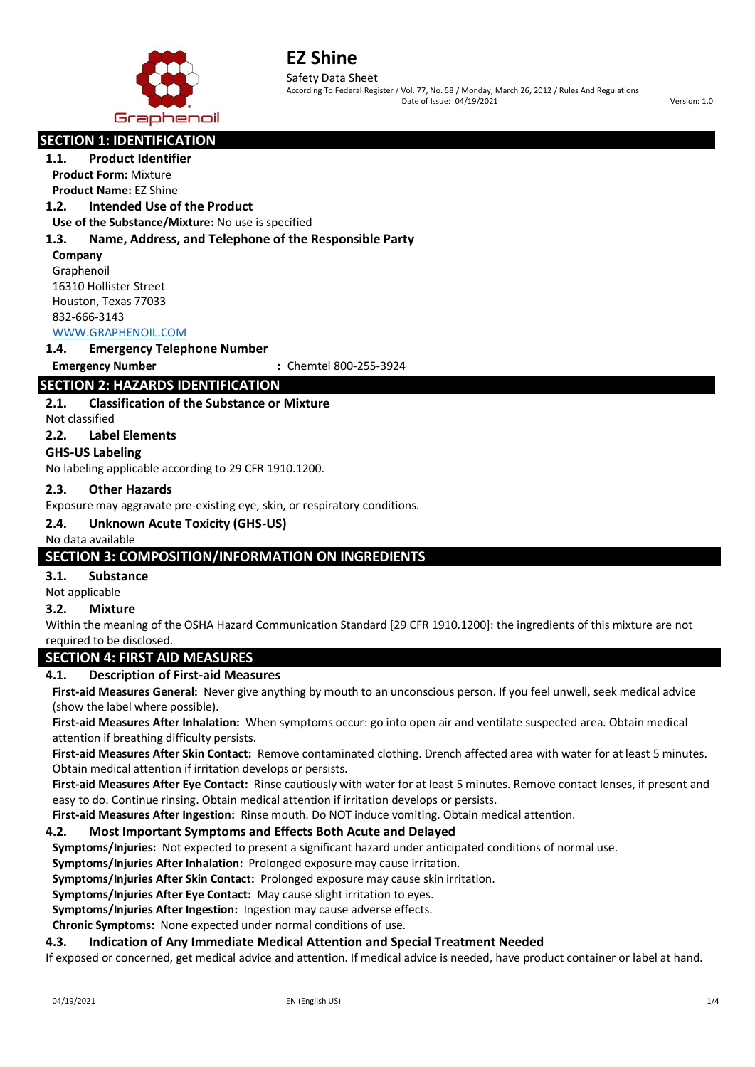

According To Federal Register / Vol. 77, No. 58 / Monday, March 26, 2012 / Rules And Regulations Date of Issue: 04/19/2021 Version: 1.0

# **SECTION 1: IDENTIFICATION**

**1.1. Product Identifier Product Form:** Mixture **Product Name:** EZ Shine

## **1.2. Intended Use of the Product**

**Use of the Substance/Mixture:** No use is specified

#### **1.3. Name, Address, and Telephone of the Responsible Party**

**Company** Graphenoil 16310 Hollister Street Houston, Texas 77033 832-666-3143

# [WWW.GRAPHENOIL.COM](http://www.graphenoil.com/)

## **1.4. Emergency Telephone Number**

**Emergency Number :** Chemtel 800-255-3924

# **SECTION 2: HAZARDS IDENTIFICATION**

#### **2.1. Classification of the Substance or Mixture**

Not classified

#### **2.2. Label Elements**

## **GHS-US Labeling**

No labeling applicable according to 29 CFR 1910.1200.

#### **2.3. Other Hazards**

Exposure may aggravate pre-existing eye, skin, or respiratory conditions.

## **2.4. Unknown Acute Toxicity (GHS-US)**

#### No data available

## **SECTION 3: COMPOSITION/INFORMATION ON INGREDIENTS**

#### **3.1. Substance**

Not applicable

# **3.2. Mixture**

Within the meaning of the OSHA Hazard Communication Standard [29 CFR 1910.1200]: the ingredients of this mixture are not required to be disclosed.

#### **SECTION 4: FIRST AID MEASURES**

#### **4.1. Description of First-aid Measures**

**First-aid Measures General:** Never give anything by mouth to an unconscious person. If you feel unwell, seek medical advice (show the label where possible).

**First-aid Measures After Inhalation:** When symptoms occur: go into open air and ventilate suspected area. Obtain medical attention if breathing difficulty persists.

**First-aid Measures After Skin Contact:** Remove contaminated clothing. Drench affected area with water for at least 5 minutes. Obtain medical attention if irritation develops or persists.

**First-aid Measures After Eye Contact:** Rinse cautiously with water for at least 5 minutes. Remove contact lenses, if present and easy to do. Continue rinsing. Obtain medical attention if irritation develops or persists.

**First-aid Measures After Ingestion:** Rinse mouth. Do NOT induce vomiting. Obtain medical attention.

#### **4.2. Most Important Symptoms and Effects Both Acute and Delayed**

**Symptoms/Injuries:** Not expected to present a significant hazard under anticipated conditions of normal use.

**Symptoms/Injuries After Inhalation:** Prolonged exposure may cause irritation.

**Symptoms/Injuries After Skin Contact:** Prolonged exposure may cause skin irritation.

**Symptoms/Injuries After Eye Contact:** May cause slight irritation to eyes.

**Symptoms/Injuries After Ingestion:** Ingestion may cause adverse effects.

**Chronic Symptoms:** None expected under normal conditions of use.

#### **4.3. Indication of Any Immediate Medical Attention and Special Treatment Needed**

If exposed or concerned, get medical advice and attention. If medical advice is needed, have product container or label at hand.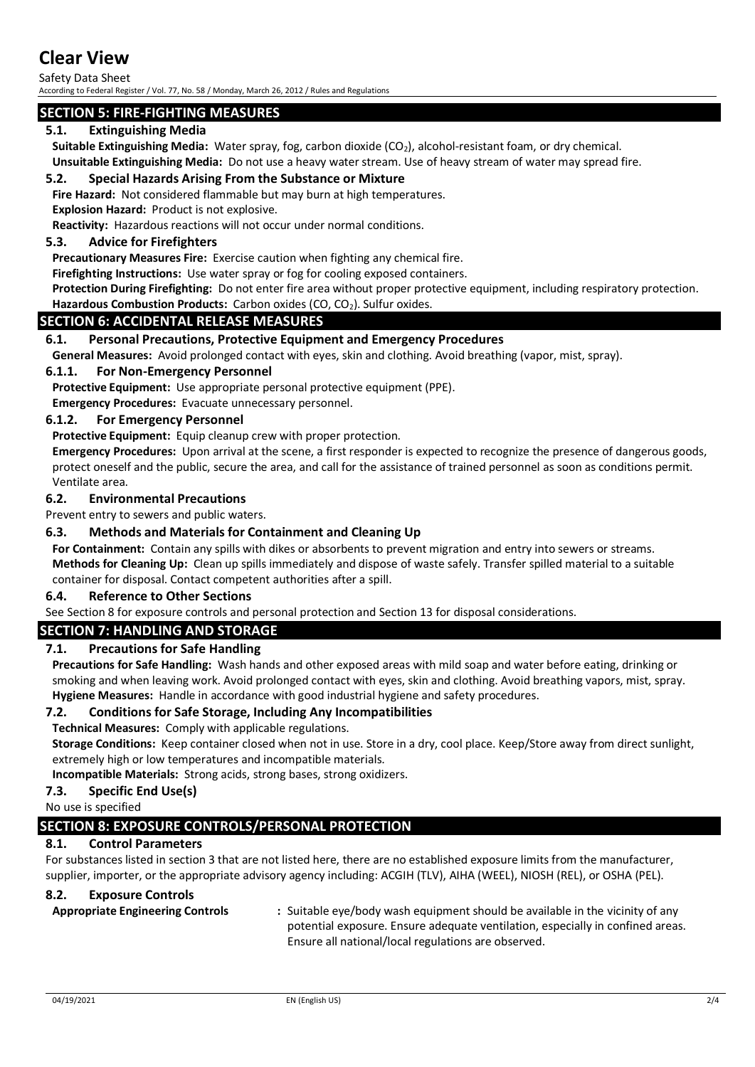# **Clear View**

Safety Data Sheet According to Federal Register / Vol. 77, No. 58 / Monday, March 26, 2012 / Rules and Regulations

# **SECTION 5: FIRE-FIGHTING MEASURES**

## **5.1. Extinguishing Media**

Suitable Extinguishing Media: Water spray, fog, carbon dioxide (CO<sub>2</sub>), alcohol-resistant foam, or dry chemical.

**Unsuitable Extinguishing Media:** Do not use a heavy water stream. Use of heavy stream of water may spread fire.

## **5.2. Special Hazards Arising From the Substance or Mixture**

**Fire Hazard:** Not considered flammable but may burn at high temperatures.

**Explosion Hazard:** Product is not explosive.

**Reactivity:** Hazardous reactions will not occur under normal conditions.

## **5.3. Advice for Firefighters**

**Precautionary Measures Fire:** Exercise caution when fighting any chemical fire.

**Firefighting Instructions:** Use water spray or fog for cooling exposed containers.

**Protection During Firefighting:** Do not enter fire area without proper protective equipment, including respiratory protection. Hazardous Combustion Products: Carbon oxides (CO, CO<sub>2</sub>). Sulfur oxides.

## **SECTION 6: ACCIDENTAL RELEASE MEASURES**

## **6.1. Personal Precautions, Protective Equipment and Emergency Procedures**

**General Measures:** Avoid prolonged contact with eyes, skin and clothing. Avoid breathing (vapor, mist, spray).

#### **6.1.1. For Non-Emergency Personnel**

**Protective Equipment:** Use appropriate personal protective equipment (PPE).

**Emergency Procedures:** Evacuate unnecessary personnel.

## **6.1.2. For Emergency Personnel**

**Protective Equipment:** Equip cleanup crew with proper protection.

**Emergency Procedures:** Upon arrival at the scene, a first responder is expected to recognize the presence of dangerous goods, protect oneself and the public, secure the area, and call for the assistance of trained personnel as soon as conditions permit. Ventilate area.

#### **6.2. Environmental Precautions**

Prevent entry to sewers and public waters.

## **6.3. Methods and Materials for Containment and Cleaning Up**

**For Containment:** Contain any spills with dikes or absorbents to prevent migration and entry into sewers or streams. **Methods for Cleaning Up:** Clean up spills immediately and dispose of waste safely. Transfer spilled material to a suitable container for disposal. Contact competent authorities after a spill.

#### **6.4. Reference to Other Sections**

See Section 8 for exposure controls and personal protection and Section 13 for disposal considerations.

## **SECTION 7: HANDLING AND STORAGE**

## **7.1. Precautions for Safe Handling**

**Precautions for Safe Handling:** Wash hands and other exposed areas with mild soap and water before eating, drinking or smoking and when leaving work. Avoid prolonged contact with eyes, skin and clothing. Avoid breathing vapors, mist, spray. **Hygiene Measures:** Handle in accordance with good industrial hygiene and safety procedures.

## **7.2. Conditions for Safe Storage, Including Any Incompatibilities**

**Technical Measures:** Comply with applicable regulations.

**Storage Conditions:** Keep container closed when not in use. Store in a dry, cool place. Keep/Store away from direct sunlight, extremely high or low temperatures and incompatible materials.

**Incompatible Materials:** Strong acids, strong bases, strong oxidizers.

## **7.3. Specific End Use(s)**

No use is specified

# **SECTION 8: EXPOSURE CONTROLS/PERSONAL PROTECTION**

## **8.1. Control Parameters**

For substances listed in section 3 that are not listed here, there are no established exposure limits from the manufacturer, supplier, importer, or the appropriate advisory agency including: ACGIH (TLV), AIHA (WEEL), NIOSH (REL), or OSHA (PEL).

## **8.2. Exposure Controls**

**Appropriate Engineering Controls :** Suitable eye/body wash equipment should be available in the vicinity of any potential exposure. Ensure adequate ventilation, especially in confined areas. Ensure all national/local regulations are observed.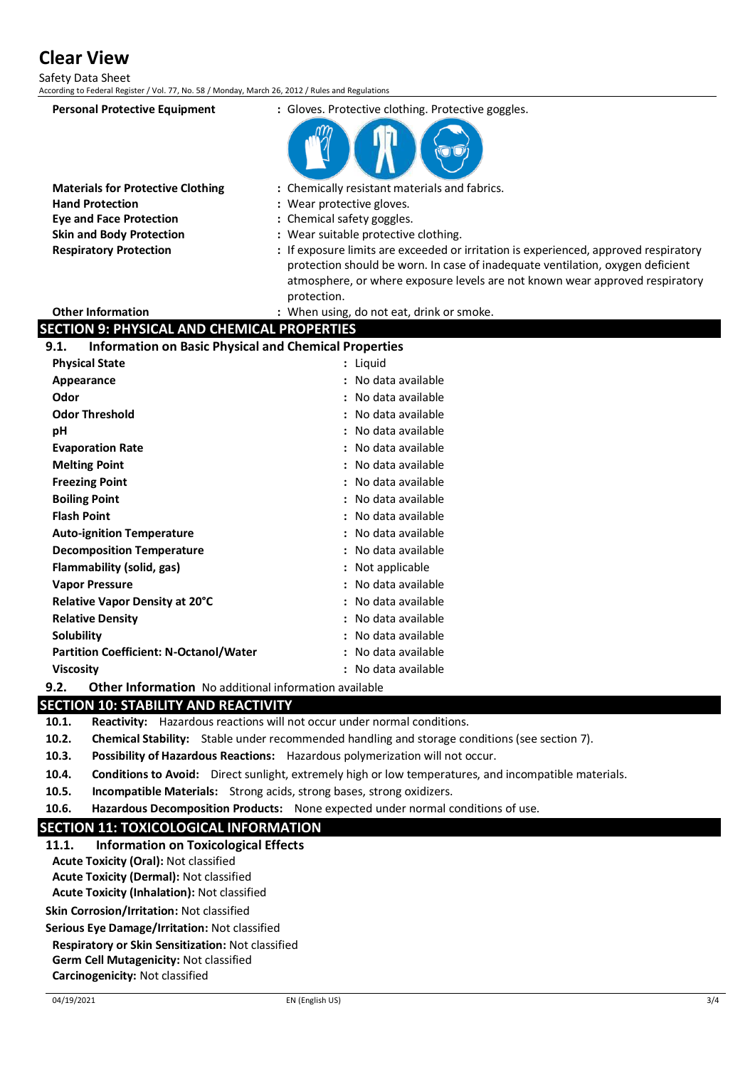**Clear View**

Safety Data Sheet

| According to Federal Register / Vol. 77, No. 58 / Monday, March 26, 2012 / Rules and Regulations |                                                                                      |
|--------------------------------------------------------------------------------------------------|--------------------------------------------------------------------------------------|
| <b>Personal Protective Equipment</b>                                                             | : Gloves. Protective clothing. Protective goggles.                                   |
|                                                                                                  |                                                                                      |
| <b>Materials for Protective Clothing</b>                                                         | : Chemically resistant materials and fabrics.                                        |
| <b>Hand Protection</b>                                                                           | : Wear protective gloves.                                                            |
| <b>Eye and Face Protection</b>                                                                   | : Chemical safety goggles.                                                           |
| <b>Skin and Body Protection</b>                                                                  | : Wear suitable protective clothing.                                                 |
| <b>Respiratory Protection</b>                                                                    | : If exposure limits are exceeded or irritation is experienced, approved respiratory |
|                                                                                                  | protection should be worn. In case of inadequate ventilation, oxygen deficient       |
|                                                                                                  | atmosphere, or where exposure levels are not known wear approved respiratory         |
|                                                                                                  | protection.                                                                          |
| <b>Other Information</b>                                                                         | : When using, do not eat, drink or smoke.                                            |
| <b>SECTION 9: PHYSICAL AND CHEMICAL PROPERTIES</b>                                               |                                                                                      |
| <b>Information on Basic Physical and Chemical Properties</b><br>9.1.                             |                                                                                      |
| <b>Physical State</b>                                                                            | : Liquid                                                                             |
| Appearance                                                                                       | : No data available                                                                  |
| Odor                                                                                             | : No data available                                                                  |
| <b>Odor Threshold</b>                                                                            | No data available                                                                    |
| рH                                                                                               | No data available                                                                    |
| <b>Evaporation Rate</b>                                                                          | No data available                                                                    |
| <b>Melting Point</b>                                                                             | : No data available                                                                  |
| <b>Freezing Point</b>                                                                            | : No data available                                                                  |
| <b>Boiling Point</b>                                                                             | No data available                                                                    |
| <b>Flash Point</b>                                                                               | No data available                                                                    |
| <b>Auto-ignition Temperature</b>                                                                 | No data available                                                                    |
| <b>Decomposition Temperature</b>                                                                 | No data available                                                                    |
| Flammability (solid, gas)                                                                        | Not applicable                                                                       |
| <b>Vapor Pressure</b>                                                                            | No data available                                                                    |
| Relative Vapor Density at 20°C                                                                   | No data available                                                                    |
| <b>Relative Density</b>                                                                          | No data available                                                                    |
| Solubility                                                                                       | : No data available                                                                  |
| <b>Partition Coefficient: N-Octanol/Water</b>                                                    | : No data available                                                                  |
| <b>Viscosity</b>                                                                                 | : No data available                                                                  |
| 9.2.<br><b>Other Information</b> No additional information available                             |                                                                                      |

## **SECTION 10: STABILITY AND REACTIVITY**

**10.1. Reactivity:** Hazardous reactions will not occur under normal conditions.

- **10.2. Chemical Stability:** Stable under recommended handling and storage conditions (see section 7).
- **10.3. Possibility of Hazardous Reactions:** Hazardous polymerization will not occur.
- **10.4. Conditions to Avoid:** Direct sunlight, extremely high or low temperatures, and incompatible materials.
- **10.5. Incompatible Materials:** Strong acids, strong bases, strong oxidizers.
- **10.6. Hazardous Decomposition Products:** None expected under normal conditions of use.

## **SECTION 11: TOXICOLOGICAL INFORMATION**

- **11.1. Information on Toxicological Effects**
- **Acute Toxicity (Oral):** Not classified
- **Acute Toxicity (Dermal):** Not classified

**Acute Toxicity (Inhalation):** Not classified

**Skin Corrosion/Irritation:** Not classified

**Serious Eye Damage/Irritation:** Not classified

**Respiratory or Skin Sensitization:** Not classified

**Germ Cell Mutagenicity:** Not classified

**Carcinogenicity:** Not classified